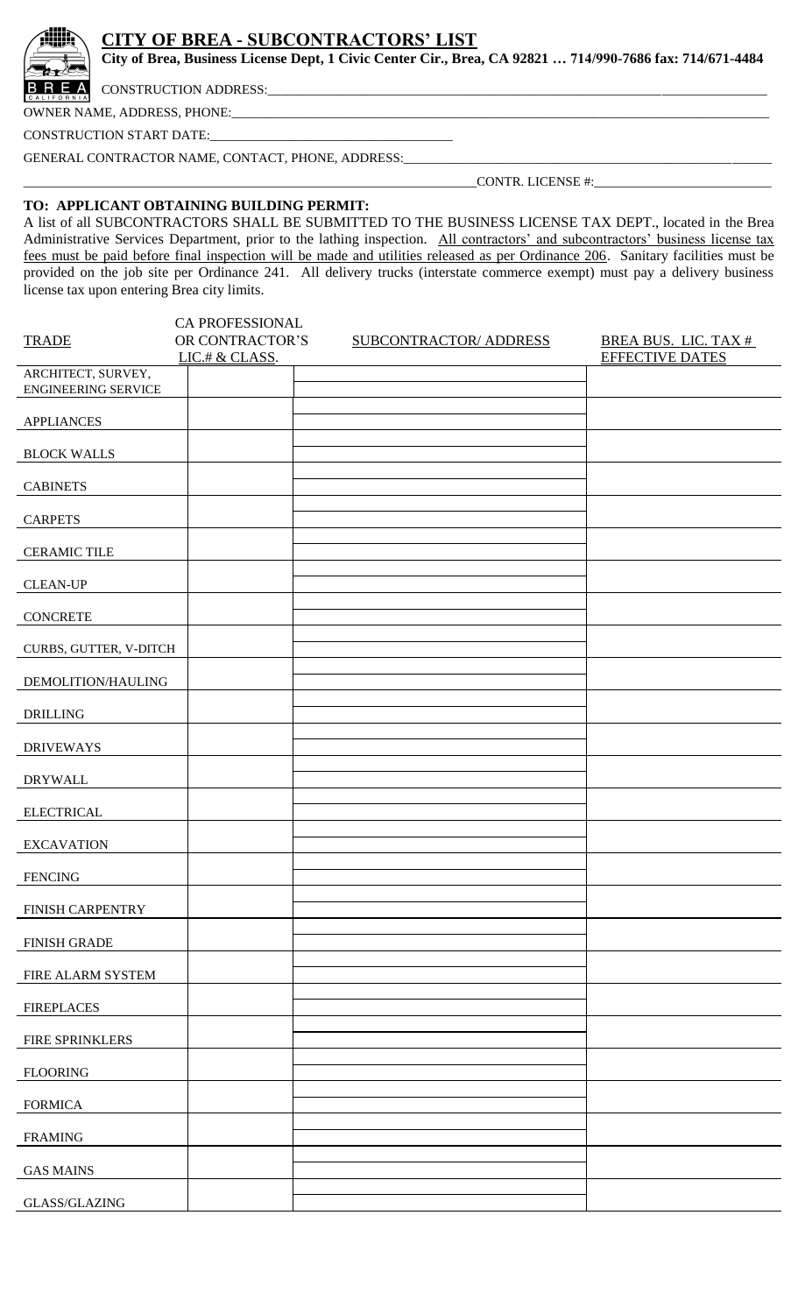## **CITY OF BREA - SUBCONTRACTORS' LIST**

**City of Brea, Business License Dept, 1 Civic Center Cir., Brea, CA 92821 … 714/990-7686 fax: 714/671-4484**

**RE** A CONSTRUCTION ADDRESS:

OWNER NAME, ADDRESS, PHONE:

CONSTRUCTION START DATE:\_\_\_\_\_\_\_\_\_\_\_\_\_\_\_\_\_\_\_\_\_\_\_\_\_\_\_\_\_\_\_\_\_\_\_\_\_

GENERAL CONTRACTOR NAME, CONTACT, PHONE, ADDRESS:

\_\_\_\_\_\_\_\_\_\_\_\_\_\_\_\_\_\_\_\_\_\_\_\_\_\_\_\_\_\_\_\_\_\_\_\_\_\_\_\_\_\_\_\_\_\_\_\_\_\_\_\_\_\_\_\_\_\_\_\_\_\_\_\_\_\_\_\_\_CONTR. LICENSE #:\_\_\_\_\_\_\_\_\_\_\_\_\_\_\_\_\_\_\_\_\_\_\_\_\_\_\_

## **TO: APPLICANT OBTAINING BUILDING PERMIT:**

A list of all SUBCONTRACTORS SHALL BE SUBMITTED TO THE BUSINESS LICENSE TAX DEPT., located in the Brea Administrative Services Department, prior to the lathing inspection. All contractors' and subcontractors' business license tax fees must be paid before final inspection will be made and utilities released as per Ordinance 206. Sanitary facilities must be provided on the job site per Ordinance 241. All delivery trucks (interstate commerce exempt) must pay a delivery business license tax upon entering Brea city limits.

| CA PROFESSIONAL                                  |                                   |  |  |                        |                                                       |  |  |
|--------------------------------------------------|-----------------------------------|--|--|------------------------|-------------------------------------------------------|--|--|
| <b>TRADE</b>                                     | OR CONTRACTOR'S<br>LIC.# & CLASS. |  |  | SUBCONTRACTOR/ ADDRESS | <b>BREA BUS. LIC. TAX #</b><br><b>EFFECTIVE DATES</b> |  |  |
| ARCHITECT, SURVEY,<br><b>ENGINEERING SERVICE</b> |                                   |  |  |                        |                                                       |  |  |
| <b>APPLIANCES</b>                                |                                   |  |  |                        |                                                       |  |  |
| <b>BLOCK WALLS</b>                               |                                   |  |  |                        |                                                       |  |  |
| <b>CABINETS</b>                                  |                                   |  |  |                        |                                                       |  |  |
| <b>CARPETS</b>                                   |                                   |  |  |                        |                                                       |  |  |
| <b>CERAMIC TILE</b>                              |                                   |  |  |                        |                                                       |  |  |
| <b>CLEAN-UP</b>                                  |                                   |  |  |                        |                                                       |  |  |
| <b>CONCRETE</b>                                  |                                   |  |  |                        |                                                       |  |  |
| CURBS, GUTTER, V-DITCH                           |                                   |  |  |                        |                                                       |  |  |
| DEMOLITION/HAULING                               |                                   |  |  |                        |                                                       |  |  |
| <b>DRILLING</b>                                  |                                   |  |  |                        |                                                       |  |  |
| <b>DRIVEWAYS</b>                                 |                                   |  |  |                        |                                                       |  |  |
| <b>DRYWALL</b>                                   |                                   |  |  |                        |                                                       |  |  |
| <b>ELECTRICAL</b>                                |                                   |  |  |                        |                                                       |  |  |
| <b>EXCAVATION</b>                                |                                   |  |  |                        |                                                       |  |  |
| <b>FENCING</b>                                   |                                   |  |  |                        |                                                       |  |  |
| FINISH CARPENTRY                                 |                                   |  |  |                        |                                                       |  |  |
| <b>FINISH GRADE</b>                              |                                   |  |  |                        |                                                       |  |  |
| FIRE ALARM SYSTEM                                |                                   |  |  |                        |                                                       |  |  |
| <b>FIREPLACES</b>                                |                                   |  |  |                        |                                                       |  |  |
| FIRE SPRINKLERS                                  |                                   |  |  |                        |                                                       |  |  |
| <b>FLOORING</b>                                  |                                   |  |  |                        |                                                       |  |  |
| <b>FORMICA</b>                                   |                                   |  |  |                        |                                                       |  |  |
| <b>FRAMING</b>                                   |                                   |  |  |                        |                                                       |  |  |
| <b>GAS MAINS</b>                                 |                                   |  |  |                        |                                                       |  |  |
| GLASS/GLAZING                                    |                                   |  |  |                        |                                                       |  |  |